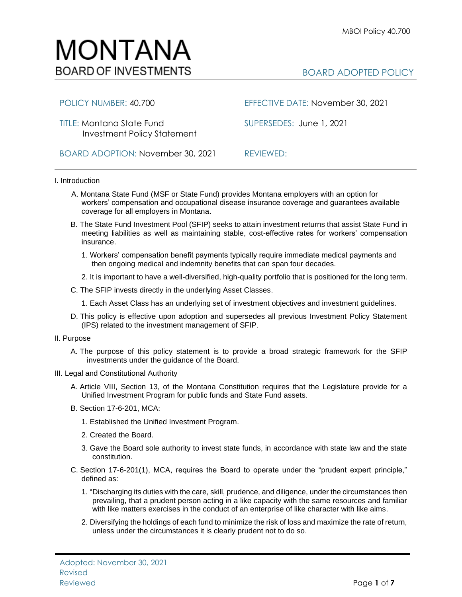# MONTANA **BOARD OF INVESTMENTS**

## BOARD ADOPTED POLICY

TITLE: Montana State Fund SUPERSEDES:June 1, 2021 Investment Policy Statement

BOARD ADOPTION: November 30, 2021 REVIEWED:

POLICY NUMBER: 40.700 EFFECTIVE DATE: November 30, 2021

I. Introduction

- A. Montana State Fund (MSF or State Fund) provides Montana employers with an option for workers' compensation and occupational disease insurance coverage and guarantees available coverage for all employers in Montana.
- B. The State Fund Investment Pool (SFIP) seeks to attain investment returns that assist State Fund in meeting liabilities as well as maintaining stable, cost-effective rates for workers' compensation insurance.
	- 1. Workers' compensation benefit payments typically require immediate medical payments and then ongoing medical and indemnity benefits that can span four decades.
	- 2. It is important to have a well-diversified, high-quality portfolio that is positioned for the long term.
- C. The SFIP invests directly in the underlying Asset Classes.
	- 1. Each Asset Class has an underlying set of investment objectives and investment guidelines.
- D. This policy is effective upon adoption and supersedes all previous Investment Policy Statement (IPS) related to the investment management of SFIP.
- II. Purpose
	- A. The purpose of this policy statement is to provide a broad strategic framework for the SFIP investments under the guidance of the Board.
- III. Legal and Constitutional Authority
	- A. Article VIII, Section 13, of the Montana Constitution requires that the Legislature provide for a Unified Investment Program for public funds and State Fund assets.
	- B. Section 17-6-201, MCA:
		- 1. Established the Unified Investment Program.
		- 2. Created the Board.
		- 3. Gave the Board sole authority to invest state funds, in accordance with state law and the state constitution.
	- C. Section 17-6-201(1), MCA, requires the Board to operate under the "prudent expert principle," defined as:
		- 1. "Discharging its duties with the care, skill, prudence, and diligence, under the circumstances then prevailing, that a prudent person acting in a like capacity with the same resources and familiar with like matters exercises in the conduct of an enterprise of like character with like aims.
		- 2. Diversifying the holdings of each fund to minimize the risk of loss and maximize the rate of return, unless under the circumstances it is clearly prudent not to do so.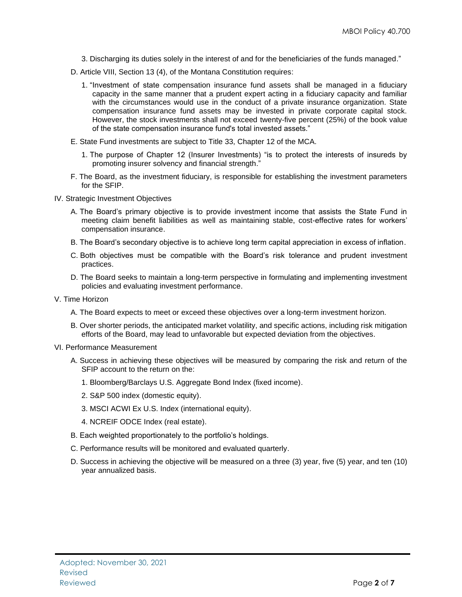- 3. Discharging its duties solely in the interest of and for the beneficiaries of the funds managed."
- D. Article VIII, Section 13 (4), of the Montana Constitution requires:
	- 1. "Investment of state compensation insurance fund assets shall be managed in a fiduciary capacity in the same manner that a prudent expert acting in a fiduciary capacity and familiar with the circumstances would use in the conduct of a private insurance organization. State compensation insurance fund assets may be invested in private corporate capital stock. However, the stock investments shall not exceed twenty-five percent (25%) of the book value of the state compensation insurance fund's total invested assets."
- E. State Fund investments are subject to Title 33, Chapter 12 of the MCA.
	- 1. The purpose of Chapter 12 (Insurer Investments) "is to protect the interests of insureds by promoting insurer solvency and financial strength."
- F. The Board, as the investment fiduciary, is responsible for establishing the investment parameters for the SFIP.
- IV. Strategic Investment Objectives
	- A. The Board's primary objective is to provide investment income that assists the State Fund in meeting claim benefit liabilities as well as maintaining stable, cost-effective rates for workers' compensation insurance.
	- B. The Board's secondary objective is to achieve long term capital appreciation in excess of inflation.
	- C. Both objectives must be compatible with the Board's risk tolerance and prudent investment practices.
	- D. The Board seeks to maintain a long-term perspective in formulating and implementing investment policies and evaluating investment performance.
- V. Time Horizon
	- A. The Board expects to meet or exceed these objectives over a long-term investment horizon.
	- B. Over shorter periods, the anticipated market volatility, and specific actions, including risk mitigation efforts of the Board, may lead to unfavorable but expected deviation from the objectives.
- VI. Performance Measurement
	- A. Success in achieving these objectives will be measured by comparing the risk and return of the SFIP account to the return on the:
		- 1. Bloomberg/Barclays U.S. Aggregate Bond Index (fixed income).
		- 2. S&P 500 index (domestic equity).
		- 3. MSCI ACWI Ex U.S. Index (international equity).
		- 4. NCREIF ODCE Index (real estate).
	- B. Each weighted proportionately to the portfolio's holdings.
	- C. Performance results will be monitored and evaluated quarterly.
	- D. Success in achieving the objective will be measured on a three (3) year, five (5) year, and ten (10) year annualized basis.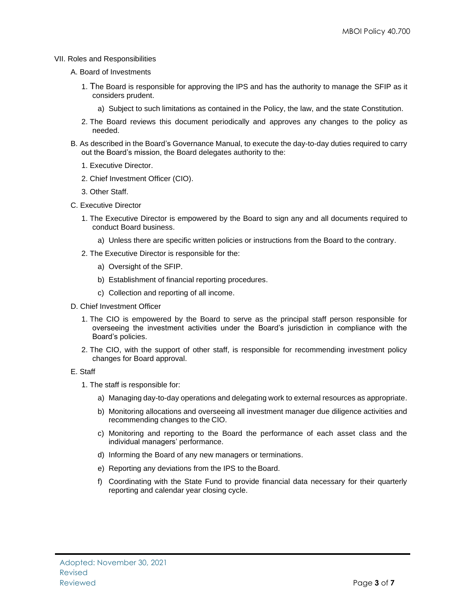#### VII. Roles and Responsibilities

- A. Board of Investments
	- 1. The Board is responsible for approving the IPS and has the authority to manage the SFIP as it considers prudent.
		- a) Subject to such limitations as contained in the Policy, the law, and the state Constitution.
	- 2. The Board reviews this document periodically and approves any changes to the policy as needed.
- B. As described in the Board's Governance Manual, to execute the day-to-day duties required to carry out the Board's mission, the Board delegates authority to the:
	- 1. Executive Director.
	- 2. Chief Investment Officer (CIO).
	- 3. Other Staff.
- C. Executive Director
	- 1. The Executive Director is empowered by the Board to sign any and all documents required to conduct Board business.
		- a) Unless there are specific written policies or instructions from the Board to the contrary.
	- 2. The Executive Director is responsible for the:
		- a) Oversight of the SFIP.
		- b) Establishment of financial reporting procedures.
		- c) Collection and reporting of all income.
- D. Chief Investment Officer
	- 1. The CIO is empowered by the Board to serve as the principal staff person responsible for overseeing the investment activities under the Board's jurisdiction in compliance with the Board's policies.
	- 2. The CIO, with the support of other staff, is responsible for recommending investment policy changes for Board approval.

#### E. Staff

- 1. The staff is responsible for:
	- a) Managing day-to-day operations and delegating work to external resources as appropriate.
	- b) Monitoring allocations and overseeing all investment manager due diligence activities and recommending changes to the CIO.
	- c) Monitoring and reporting to the Board the performance of each asset class and the individual managers' performance.
	- d) Informing the Board of any new managers or terminations.
	- e) Reporting any deviations from the IPS to the Board.
	- f) Coordinating with the State Fund to provide financial data necessary for their quarterly reporting and calendar year closing cycle.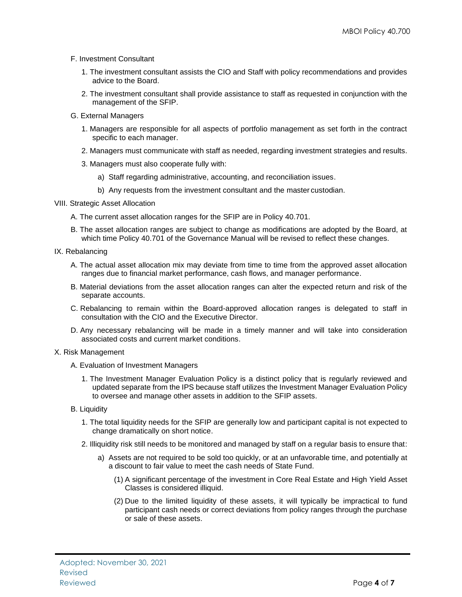- F. Investment Consultant
	- 1. The investment consultant assists the CIO and Staff with policy recommendations and provides advice to the Board.
	- 2. The investment consultant shall provide assistance to staff as requested in conjunction with the management of the SFIP.
- G. External Managers
	- 1. Managers are responsible for all aspects of portfolio management as set forth in the contract specific to each manager.
	- 2. Managers must communicate with staff as needed, regarding investment strategies and results.
	- 3. Managers must also cooperate fully with:
		- a) Staff regarding administrative, accounting, and reconciliation issues.
		- b) Any requests from the investment consultant and the master custodian.
- VIII. Strategic Asset Allocation
	- A. The current asset allocation ranges for the SFIP are in Policy 40.701.
	- B. The asset allocation ranges are subject to change as modifications are adopted by the Board, at which time Policy 40.701 of the Governance Manual will be revised to reflect these changes.
- IX. Rebalancing
	- A. The actual asset allocation mix may deviate from time to time from the approved asset allocation ranges due to financial market performance, cash flows, and manager performance.
	- B. Material deviations from the asset allocation ranges can alter the expected return and risk of the separate accounts.
	- C. Rebalancing to remain within the Board-approved allocation ranges is delegated to staff in consultation with the CIO and the Executive Director.
	- D. Any necessary rebalancing will be made in a timely manner and will take into consideration associated costs and current market conditions.
- X. Risk Management
	- A. Evaluation of Investment Managers
		- 1. The Investment Manager Evaluation Policy is a distinct policy that is regularly reviewed and updated separate from the IPS because staff utilizes the Investment Manager Evaluation Policy to oversee and manage other assets in addition to the SFIP assets.
	- B. Liquidity
		- 1. The total liquidity needs for the SFIP are generally low and participant capital is not expected to change dramatically on short notice.
		- 2. Illiquidity risk still needs to be monitored and managed by staff on a regular basis to ensure that:
			- a) Assets are not required to be sold too quickly, or at an unfavorable time, and potentially at a discount to fair value to meet the cash needs of State Fund.
				- (1) A significant percentage of the investment in Core Real Estate and High Yield Asset Classes is considered illiquid.
				- (2) Due to the limited liquidity of these assets, it will typically be impractical to fund participant cash needs or correct deviations from policy ranges through the purchase or sale of these assets.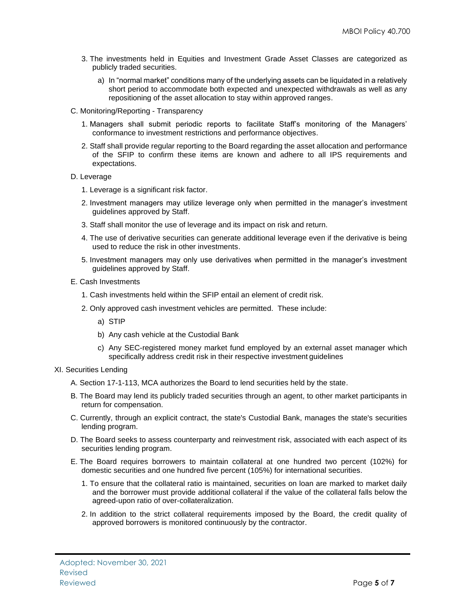- 3. The investments held in Equities and Investment Grade Asset Classes are categorized as publicly traded securities.
	- a) In "normal market" conditions many of the underlying assets can be liquidated in a relatively short period to accommodate both expected and unexpected withdrawals as well as any repositioning of the asset allocation to stay within approved ranges.
- C. Monitoring/Reporting Transparency
	- 1. Managers shall submit periodic reports to facilitate Staff's monitoring of the Managers' conformance to investment restrictions and performance objectives.
	- 2. Staff shall provide regular reporting to the Board regarding the asset allocation and performance of the SFIP to confirm these items are known and adhere to all IPS requirements and expectations.
- D. Leverage
	- 1. Leverage is a significant risk factor.
	- 2. Investment managers may utilize leverage only when permitted in the manager's investment guidelines approved by Staff.
	- 3. Staff shall monitor the use of leverage and its impact on risk and return.
	- 4. The use of derivative securities can generate additional leverage even if the derivative is being used to reduce the risk in other investments.
	- 5. Investment managers may only use derivatives when permitted in the manager's investment guidelines approved by Staff.
- E. Cash Investments
	- 1. Cash investments held within the SFIP entail an element of credit risk.
	- 2. Only approved cash investment vehicles are permitted. These include:
		- a) STIP
		- b) Any cash vehicle at the Custodial Bank
		- c) Any SEC-registered money market fund employed by an external asset manager which specifically address credit risk in their respective investment guidelines
- XI. Securities Lending
	- A. Section 17-1-113, MCA authorizes the Board to lend securities held by the state.
	- B. The Board may lend its publicly traded securities through an agent, to other market participants in return for compensation.
	- C. Currently, through an explicit contract, the state's Custodial Bank, manages the state's securities lending program.
	- D. The Board seeks to assess counterparty and reinvestment risk, associated with each aspect of its securities lending program.
	- E. The Board requires borrowers to maintain collateral at one hundred two percent (102%) for domestic securities and one hundred five percent (105%) for international securities.
		- 1. To ensure that the collateral ratio is maintained, securities on loan are marked to market daily and the borrower must provide additional collateral if the value of the collateral falls below the agreed-upon ratio of over-collateralization.
		- 2. In addition to the strict collateral requirements imposed by the Board, the credit quality of approved borrowers is monitored continuously by the contractor.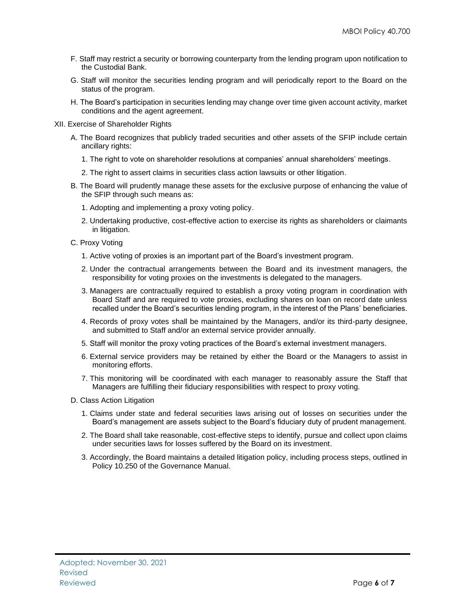- F. Staff may restrict a security or borrowing counterparty from the lending program upon notification to the Custodial Bank.
- G. Staff will monitor the securities lending program and will periodically report to the Board on the status of the program.
- H. The Board's participation in securities lending may change over time given account activity, market conditions and the agent agreement.
- XII. Exercise of Shareholder Rights
	- A. The Board recognizes that publicly traded securities and other assets of the SFIP include certain ancillary rights:
		- 1. The right to vote on shareholder resolutions at companies' annual shareholders' meetings.
		- 2. The right to assert claims in securities class action lawsuits or other litigation.
	- B. The Board will prudently manage these assets for the exclusive purpose of enhancing the value of the SFIP through such means as:
		- 1. Adopting and implementing a proxy voting policy.
		- 2. Undertaking productive, cost-effective action to exercise its rights as shareholders or claimants in litigation.
	- C. Proxy Voting
		- 1. Active voting of proxies is an important part of the Board's investment program.
		- 2. Under the contractual arrangements between the Board and its investment managers, the responsibility for voting proxies on the investments is delegated to the managers.
		- 3. Managers are contractually required to establish a proxy voting program in coordination with Board Staff and are required to vote proxies, excluding shares on loan on record date unless recalled under the Board's securities lending program, in the interest of the Plans' beneficiaries.
		- 4. Records of proxy votes shall be maintained by the Managers, and/or its third-party designee, and submitted to Staff and/or an external service provider annually.
		- 5. Staff will monitor the proxy voting practices of the Board's external investment managers.
		- 6. External service providers may be retained by either the Board or the Managers to assist in monitoring efforts.
		- 7. This monitoring will be coordinated with each manager to reasonably assure the Staff that Managers are fulfilling their fiduciary responsibilities with respect to proxy voting.
	- D. Class Action Litigation
		- 1. Claims under state and federal securities laws arising out of losses on securities under the Board's management are assets subject to the Board's fiduciary duty of prudent management.
		- 2. The Board shall take reasonable, cost-effective steps to identify, pursue and collect upon claims under securities laws for losses suffered by the Board on its investment.
		- 3. Accordingly, the Board maintains a detailed litigation policy, including process steps, outlined in Policy 10.250 of the Governance Manual.